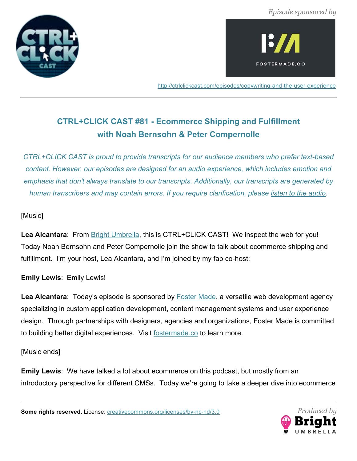



http://ctrlclickcast.com/episodes/copywriting-and-the-user-experience

# **CTRL+CLICK CAST #81 - Ecommerce Shipping and Fulfillment with Noah Bernsohn & Peter Compernolle**

*CTRL+CLICK CAST is proud to provide transcripts for our audience members who prefer text-based content. However, our episodes are designed for an audio experience, which includes emotion and emphasis that don't always translate to our transcripts. Additionally, our transcripts are generated by human transcribers and may contain errors. If you require clarification, please listen to the audio.*

# [Music]

Lea Alcantara: From **Bright Umbrella**, this is CTRL+CLICK CAST! We inspect the web for you! Today Noah Bernsohn and Peter Compernolle join the show to talk about ecommerce shipping and fulfillment. I'm your host, Lea Alcantara, and I'm joined by my fab co-host:

# **Emily Lewis**: Emily Lewis!

Lea Alcantara: Today's episode is sponsored by **Foster Made**, a versatile web development agency specializing in custom application development, content management systems and user experience design. Through partnerships with designers, agencies and organizations, Foster Made is committed to building better digital experiences. Visit fostermade.co to learn more.

## [Music ends]

**Emily Lewis**: We have talked a lot about ecommerce on this podcast, but mostly from an introductory perspective for different CMSs. Today we're going to take a deeper dive into ecommerce

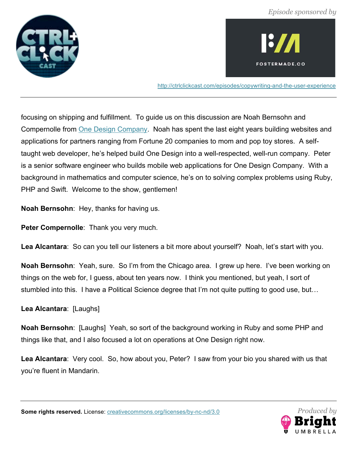



http://ctrlclickcast.com/episodes/copywriting-and-the-user-experience

focusing on shipping and fulfillment. To guide us on this discussion are Noah Bernsohn and Compernolle from One Design Company. Noah has spent the last eight years building websites and applications for partners ranging from Fortune 20 companies to mom and pop toy stores. A selftaught web developer, he's helped build One Design into a well-respected, well-run company. Peter is a senior software engineer who builds mobile web applications for One Design Company. With a background in mathematics and computer science, he's on to solving complex problems using Ruby, PHP and Swift. Welcome to the show, gentlemen!

**Noah Bernsohn**: Hey, thanks for having us.

Peter Compernolle: Thank you very much.

Lea Alcantara: So can you tell our listeners a bit more about yourself? Noah, let's start with you.

**Noah Bernsohn**: Yeah, sure. So I'm from the Chicago area. I grew up here. I've been working on things on the web for, I guess, about ten years now. I think you mentioned, but yeah, I sort of stumbled into this. I have a Political Science degree that I'm not quite putting to good use, but…

**Lea Alcantara**: [Laughs]

**Noah Bernsohn**: [Laughs] Yeah, so sort of the background working in Ruby and some PHP and things like that, and I also focused a lot on operations at One Design right now.

**Lea Alcantara**: Very cool. So, how about you, Peter? I saw from your bio you shared with us that you're fluent in Mandarin.

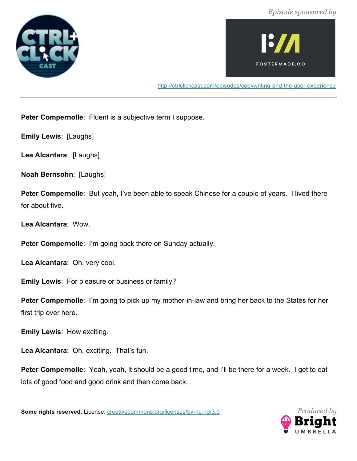



http://ctrlclickcast.com/episodes/copywriting-and-the-user-experience

**Peter Compernolle**: Fluent is a subjective term I suppose.

**Emily Lewis**: [Laughs]

**Lea Alcantara**: [Laughs]

**Noah Bernsohn**: [Laughs]

**Peter Compernolle**: But yeah, I've been able to speak Chinese for a couple of years. I lived there for about five.

**Lea Alcantara**: Wow.

**Peter Compernolle**: I'm going back there on Sunday actually.

**Lea Alcantara**: Oh, very cool.

**Emily Lewis**: For pleasure or business or family?

**Peter Compernolle**: I'm going to pick up my mother-in-law and bring her back to the States for her first trip over here.

**Emily Lewis**: How exciting.

Lea Alcantara: Oh, exciting. That's fun.

**Peter Compernolle**: Yeah, yeah, it should be a good time, and I'll be there for a week. I get to eat lots of good food and good drink and then come back.

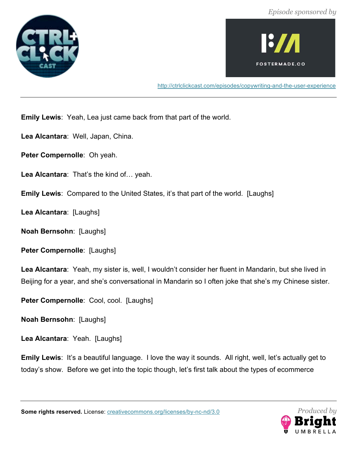



http://ctrlclickcast.com/episodes/copywriting-and-the-user-experience

**Emily Lewis**: Yeah, Lea just came back from that part of the world.

- **Lea Alcantara**: Well, Japan, China.
- **Peter Compernolle**: Oh yeah.
- **Lea Alcantara**: That's the kind of… yeah.
- **Emily Lewis: Compared to the United States, it's that part of the world. [Laughs]**

**Lea Alcantara**: [Laughs]

**Noah Bernsohn**: [Laughs]

**Peter Compernolle**: [Laughs]

**Lea Alcantara**: Yeah, my sister is, well, I wouldn't consider her fluent in Mandarin, but she lived in Beijing for a year, and she's conversational in Mandarin so I often joke that she's my Chinese sister.

Peter Compernolle: Cool, cool. [Laughs]

**Noah Bernsohn**: [Laughs]

**Lea Alcantara**: Yeah. [Laughs]

**Emily Lewis**: It's a beautiful language. I love the way it sounds. All right, well, let's actually get to today's show. Before we get into the topic though, let's first talk about the types of ecommerce

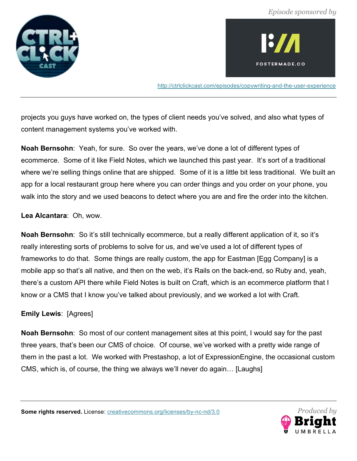



http://ctrlclickcast.com/episodes/copywriting-and-the-user-experience

projects you guys have worked on, the types of client needs you've solved, and also what types of content management systems you've worked with.

**Noah Bernsohn**: Yeah, for sure. So over the years, we've done a lot of different types of ecommerce. Some of it like Field Notes, which we launched this past year. It's sort of a traditional where we're selling things online that are shipped. Some of it is a little bit less traditional. We built an app for a local restaurant group here where you can order things and you order on your phone, you walk into the story and we used beacons to detect where you are and fire the order into the kitchen.

**Lea Alcantara**: Oh, wow.

**Noah Bernsohn**: So it's still technically ecommerce, but a really different application of it, so it's really interesting sorts of problems to solve for us, and we've used a lot of different types of frameworks to do that. Some things are really custom, the app for Eastman [Egg Company] is a mobile app so that's all native, and then on the web, it's Rails on the back-end, so Ruby and, yeah, there's a custom API there while Field Notes is built on Craft, which is an ecommerce platform that I know or a CMS that I know you've talked about previously, and we worked a lot with Craft.

#### **Emily Lewis**: [Agrees]

**Noah Bernsohn**: So most of our content management sites at this point, I would say for the past three years, that's been our CMS of choice. Of course, we've worked with a pretty wide range of them in the past a lot. We worked with Prestashop, a lot of ExpressionEngine, the occasional custom CMS, which is, of course, the thing we always we'll never do again… [Laughs]

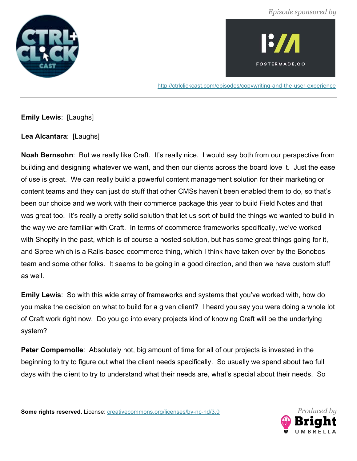



http://ctrlclickcast.com/episodes/copywriting-and-the-user-experience

**Emily Lewis**: [Laughs]

**Lea Alcantara**: [Laughs]

**Noah Bernsohn**: But we really like Craft. It's really nice. I would say both from our perspective from building and designing whatever we want, and then our clients across the board love it. Just the ease of use is great. We can really build a powerful content management solution for their marketing or content teams and they can just do stuff that other CMSs haven't been enabled them to do, so that's been our choice and we work with their commerce package this year to build Field Notes and that was great too. It's really a pretty solid solution that let us sort of build the things we wanted to build in the way we are familiar with Craft. In terms of ecommerce frameworks specifically, we've worked with Shopify in the past, which is of course a hosted solution, but has some great things going for it, and Spree which is a Rails-based ecommerce thing, which I think have taken over by the Bonobos team and some other folks. It seems to be going in a good direction, and then we have custom stuff as well.

**Emily Lewis**: So with this wide array of frameworks and systems that you've worked with, how do you make the decision on what to build for a given client? I heard you say you were doing a whole lot of Craft work right now. Do you go into every projects kind of knowing Craft will be the underlying system?

**Peter Compernolle**: Absolutely not, big amount of time for all of our projects is invested in the beginning to try to figure out what the client needs specifically. So usually we spend about two full days with the client to try to understand what their needs are, what's special about their needs. So

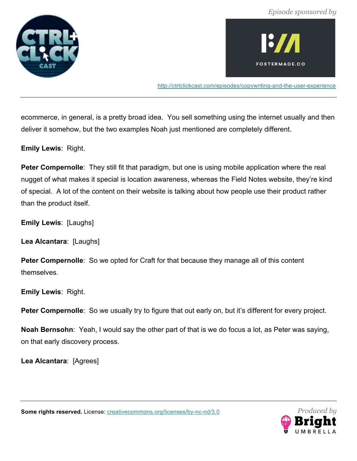



http://ctrlclickcast.com/episodes/copywriting-and-the-user-experience

ecommerce, in general, is a pretty broad idea. You sell something using the internet usually and then deliver it somehow, but the two examples Noah just mentioned are completely different.

**Emily Lewis**: Right.

**Peter Compernolle**: They still fit that paradigm, but one is using mobile application where the real nugget of what makes it special is location awareness, whereas the Field Notes website, they're kind of special. A lot of the content on their website is talking about how people use their product rather than the product itself.

**Emily Lewis**: [Laughs]

**Lea Alcantara**: [Laughs]

**Peter Compernolle**: So we opted for Craft for that because they manage all of this content themselves.

**Emily Lewis**: Right.

**Peter Compernolle**: So we usually try to figure that out early on, but it's different for every project.

**Noah Bernsohn**: Yeah, I would say the other part of that is we do focus a lot, as Peter was saying, on that early discovery process.

**Lea Alcantara**: [Agrees]



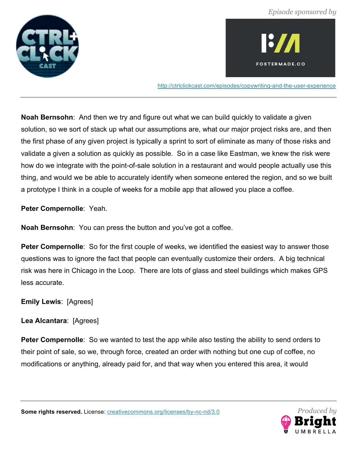



http://ctrlclickcast.com/episodes/copywriting-and-the-user-experience

**Noah Bernsohn**: And then we try and figure out what we can build quickly to validate a given solution, so we sort of stack up what our assumptions are, what our major project risks are, and then the first phase of any given project is typically a sprint to sort of eliminate as many of those risks and validate a given a solution as quickly as possible. So in a case like Eastman, we knew the risk were how do we integrate with the point-of-sale solution in a restaurant and would people actually use this thing, and would we be able to accurately identify when someone entered the region, and so we built a prototype I think in a couple of weeks for a mobile app that allowed you place a coffee.

**Peter Compernolle**: Yeah.

**Noah Bernsohn**: You can press the button and you've got a coffee.

**Peter Compernolle**: So for the first couple of weeks, we identified the easiest way to answer those questions was to ignore the fact that people can eventually customize their orders. A big technical risk was here in Chicago in the Loop. There are lots of glass and steel buildings which makes GPS less accurate.

**Emily Lewis**: [Agrees]

**Lea Alcantara**: [Agrees]

**Peter Compernolle**: So we wanted to test the app while also testing the ability to send orders to their point of sale, so we, through force, created an order with nothing but one cup of coffee, no modifications or anything, already paid for, and that way when you entered this area, it would

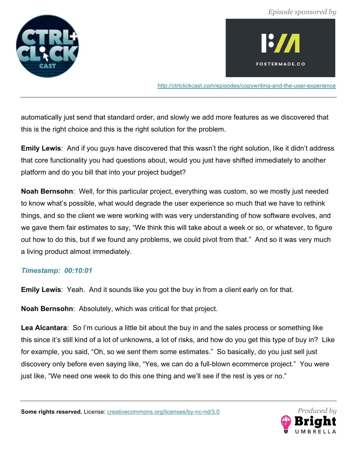



http://ctrlclickcast.com/episodes/copywriting-and-the-user-experience

automatically just send that standard order, and slowly we add more features as we discovered that this is the right choice and this is the right solution for the problem.

**Emily Lewis**: And if you guys have discovered that this wasn't the right solution, like it didn't address that core functionality you had questions about, would you just have shifted immediately to another platform and do you bill that into your project budget?

**Noah Bernsohn**: Well, for this particular project, everything was custom, so we mostly just needed to know what's possible, what would degrade the user experience so much that we have to rethink things, and so the client we were working with was very understanding of how software evolves, and we gave them fair estimates to say, "We think this will take about a week or so, or whatever, to figure out how to do this, but if we found any problems, we could pivot from that." And so it was very much a living product almost immediately.

#### *Timestamp: 00:10:01*

**Emily Lewis**: Yeah. And it sounds like you got the buy in from a client early on for that.

**Noah Bernsohn**: Absolutely, which was critical for that project.

**Lea Alcantara**: So I'm curious a little bit about the buy in and the sales process or something like this since it's still kind of a lot of unknowns, a lot of risks, and how do you get this type of buy in? Like for example, you said, "Oh, so we sent them some estimates." So basically, do you just sell just discovery only before even saying like, "Yes, we can do a full-blown ecommerce project." You were just like, "We need one week to do this one thing and we'll see if the rest is yes or no."

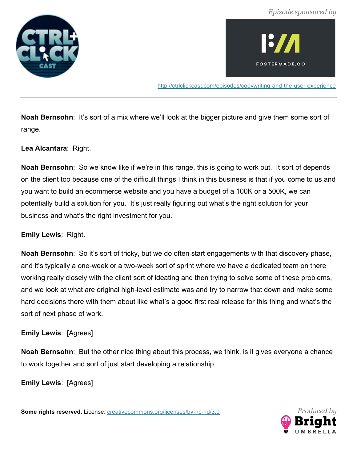



http://ctrlclickcast.com/episodes/copywriting-and-the-user-experience

**Noah Bernsohn**: It's sort of a mix where we'll look at the bigger picture and give them some sort of range.

**Lea Alcantara**: Right.

**Noah Bernsohn**: So we know like if we're in this range, this is going to work out. It sort of depends on the client too because one of the difficult things I think in this business is that if you come to us and you want to build an ecommerce website and you have a budget of a 100K or a 500K, we can potentially build a solution for you. It's just really figuring out what's the right solution for your business and what's the right investment for you.

**Emily Lewis**: Right.

**Noah Bernsohn**: So it's sort of tricky, but we do often start engagements with that discovery phase, and it's typically a one-week or a two-week sort of sprint where we have a dedicated team on there working really closely with the client sort of ideating and then trying to solve some of these problems, and we look at what are original high-level estimate was and try to narrow that down and make some hard decisions there with them about like what's a good first real release for this thing and what's the sort of next phase of work.

**Emily Lewis**: [Agrees]

**Noah Bernsohn**: But the other nice thing about this process, we think, is it gives everyone a chance to work together and sort of just start developing a relationship.

**Emily Lewis**: [Agrees]

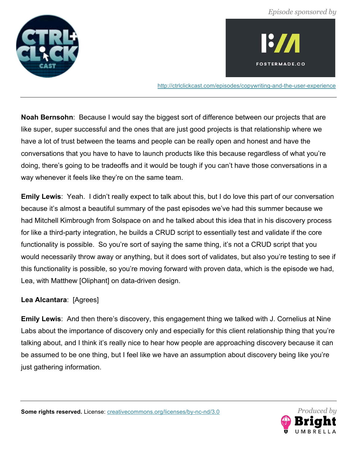



http://ctrlclickcast.com/episodes/copywriting-and-the-user-experience

**Noah Bernsohn**: Because I would say the biggest sort of difference between our projects that are like super, super successful and the ones that are just good projects is that relationship where we have a lot of trust between the teams and people can be really open and honest and have the conversations that you have to have to launch products like this because regardless of what you're doing, there's going to be tradeoffs and it would be tough if you can't have those conversations in a way whenever it feels like they're on the same team.

**Emily Lewis**: Yeah. I didn't really expect to talk about this, but I do love this part of our conversation because it's almost a beautiful summary of the past episodes we've had this summer because we had Mitchell Kimbrough from Solspace on and he talked about this idea that in his discovery process for like a third-party integration, he builds a CRUD script to essentially test and validate if the core functionality is possible. So you're sort of saying the same thing, it's not a CRUD script that you would necessarily throw away or anything, but it does sort of validates, but also you're testing to see if this functionality is possible, so you're moving forward with proven data, which is the episode we had, Lea, with Matthew [Oliphant] on data-driven design.

## **Lea Alcantara**: [Agrees]

**Emily Lewis**: And then there's discovery, this engagement thing we talked with J. Cornelius at Nine Labs about the importance of discovery only and especially for this client relationship thing that you're talking about, and I think it's really nice to hear how people are approaching discovery because it can be assumed to be one thing, but I feel like we have an assumption about discovery being like you're just gathering information.

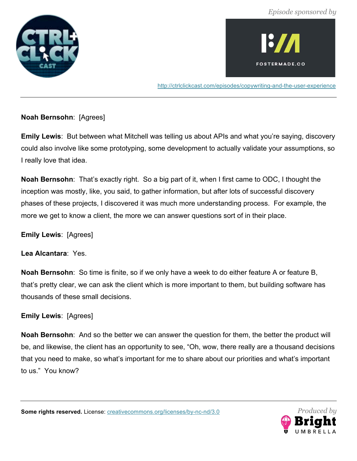



http://ctrlclickcast.com/episodes/copywriting-and-the-user-experience

## **Noah Bernsohn**: [Agrees]

**Emily Lewis**: But between what Mitchell was telling us about APIs and what you're saying, discovery could also involve like some prototyping, some development to actually validate your assumptions, so I really love that idea.

**Noah Bernsohn**: That's exactly right. So a big part of it, when I first came to ODC, I thought the inception was mostly, like, you said, to gather information, but after lots of successful discovery phases of these projects, I discovered it was much more understanding process. For example, the more we get to know a client, the more we can answer questions sort of in their place.

**Emily Lewis**: [Agrees]

**Lea Alcantara**: Yes.

**Noah Bernsohn**: So time is finite, so if we only have a week to do either feature A or feature B, that's pretty clear, we can ask the client which is more important to them, but building software has thousands of these small decisions.

## **Emily Lewis**: [Agrees]

**Noah Bernsohn**: And so the better we can answer the question for them, the better the product will be, and likewise, the client has an opportunity to see, "Oh, wow, there really are a thousand decisions that you need to make, so what's important for me to share about our priorities and what's important to us." You know?

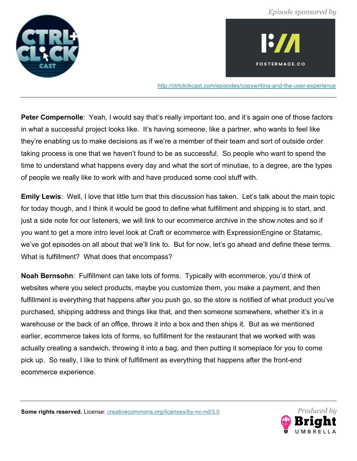



http://ctrlclickcast.com/episodes/copywriting-and-the-user-experience

**Peter Compernolle**: Yeah, I would say that's really important too, and it's again one of those factors in what a successful project looks like. It's having someone, like a partner, who wants to feel like they're enabling us to make decisions as if we're a member of their team and sort of outside order taking process is one that we haven't found to be as successful. So people who want to spend the time to understand what happens every day and what the sort of minutiae, to a degree, are the types of people we really like to work with and have produced some cool stuff with.

**Emily Lewis**: Well, I love that little turn that this discussion has taken. Let's talk about the main topic for today though, and I think it would be good to define what fulfillment and shipping is to start, and just a side note for our listeners, we will link to our ecommerce archive in the show notes and so if you want to get a more intro level look at Craft or ecommerce with ExpressionEngine or Statamic, we've got episodes on all about that we'll link to. But for now, let's go ahead and define these terms. What is fulfillment? What does that encompass?

**Noah Bernsohn**: Fulfillment can take lots of forms. Typically with ecommerce, you'd think of websites where you select products, maybe you customize them, you make a payment, and then fulfillment is everything that happens after you push go, so the store is notified of what product you've purchased, shipping address and things like that, and then someone somewhere, whether it's in a warehouse or the back of an office, throws it into a box and then ships it. But as we mentioned earlier, ecommerce takes lots of forms, so fulfillment for the restaurant that we worked with was actually creating a sandwich, throwing it into a bag, and then putting it someplace for you to come pick up. So really, I like to think of fulfillment as everything that happens after the front-end ecommerce experience.

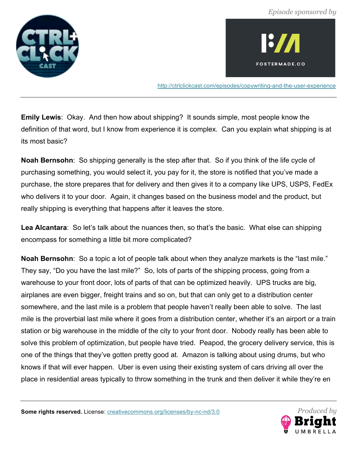



http://ctrlclickcast.com/episodes/copywriting-and-the-user-experience

**Emily Lewis**: Okay. And then how about shipping? It sounds simple, most people know the definition of that word, but I know from experience it is complex. Can you explain what shipping is at its most basic?

**Noah Bernsohn**: So shipping generally is the step after that. So if you think of the life cycle of purchasing something, you would select it, you pay for it, the store is notified that you've made a purchase, the store prepares that for delivery and then gives it to a company like UPS, USPS, FedEx who delivers it to your door. Again, it changes based on the business model and the product, but really shipping is everything that happens after it leaves the store.

Lea Alcantara: So let's talk about the nuances then, so that's the basic. What else can shipping encompass for something a little bit more complicated?

**Noah Bernsohn**: So a topic a lot of people talk about when they analyze markets is the "last mile." They say, "Do you have the last mile?" So, lots of parts of the shipping process, going from a warehouse to your front door, lots of parts of that can be optimized heavily. UPS trucks are big, airplanes are even bigger, freight trains and so on, but that can only get to a distribution center somewhere, and the last mile is a problem that people haven't really been able to solve. The last mile is the proverbial last mile where it goes from a distribution center, whether it's an airport or a train station or big warehouse in the middle of the city to your front door. Nobody really has been able to solve this problem of optimization, but people have tried. Peapod, the grocery delivery service, this is one of the things that they've gotten pretty good at. Amazon is talking about using drums, but who knows if that will ever happen. Uber is even using their existing system of cars driving all over the place in residential areas typically to throw something in the trunk and then deliver it while they're en

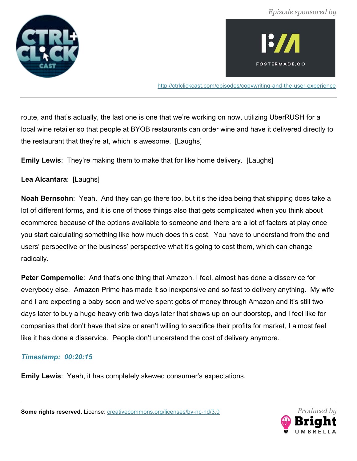



http://ctrlclickcast.com/episodes/copywriting-and-the-user-experience

route, and that's actually, the last one is one that we're working on now, utilizing UberRUSH for a local wine retailer so that people at BYOB restaurants can order wine and have it delivered directly to the restaurant that they're at, which is awesome. [Laughs]

**Emily Lewis**: They're making them to make that for like home delivery. [Laughs]

**Lea Alcantara**: [Laughs]

**Noah Bernsohn**: Yeah. And they can go there too, but it's the idea being that shipping does take a lot of different forms, and it is one of those things also that gets complicated when you think about ecommerce because of the options available to someone and there are a lot of factors at play once you start calculating something like how much does this cost. You have to understand from the end users' perspective or the business' perspective what it's going to cost them, which can change radically.

**Peter Compernolle**: And that's one thing that Amazon, I feel, almost has done a disservice for everybody else. Amazon Prime has made it so inexpensive and so fast to delivery anything. My wife and I are expecting a baby soon and we've spent gobs of money through Amazon and it's still two days later to buy a huge heavy crib two days later that shows up on our doorstep, and I feel like for companies that don't have that size or aren't willing to sacrifice their profits for market, I almost feel like it has done a disservice. People don't understand the cost of delivery anymore.

## *Timestamp: 00:20:15*

**Emily Lewis**: Yeah, it has completely skewed consumer's expectations.



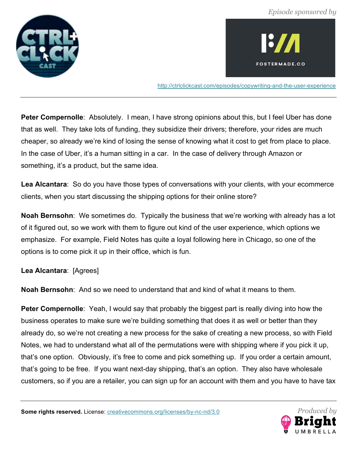



http://ctrlclickcast.com/episodes/copywriting-and-the-user-experience

**Peter Compernolle**: Absolutely. I mean, I have strong opinions about this, but I feel Uber has done that as well. They take lots of funding, they subsidize their drivers; therefore, your rides are much cheaper, so already we're kind of losing the sense of knowing what it cost to get from place to place. In the case of Uber, it's a human sitting in a car. In the case of delivery through Amazon or something, it's a product, but the same idea.

**Lea Alcantara**: So do you have those types of conversations with your clients, with your ecommerce clients, when you start discussing the shipping options for their online store?

**Noah Bernsohn**: We sometimes do. Typically the business that we're working with already has a lot of it figured out, so we work with them to figure out kind of the user experience, which options we emphasize. For example, Field Notes has quite a loyal following here in Chicago, so one of the options is to come pick it up in their office, which is fun.

**Lea Alcantara**: [Agrees]

**Noah Bernsohn**: And so we need to understand that and kind of what it means to them.

**Peter Compernolle**: Yeah, I would say that probably the biggest part is really diving into how the business operates to make sure we're building something that does it as well or better than they already do, so we're not creating a new process for the sake of creating a new process, so with Field Notes, we had to understand what all of the permutations were with shipping where if you pick it up, that's one option. Obviously, it's free to come and pick something up. If you order a certain amount, that's going to be free. If you want next-day shipping, that's an option. They also have wholesale customers, so if you are a retailer, you can sign up for an account with them and you have to have tax

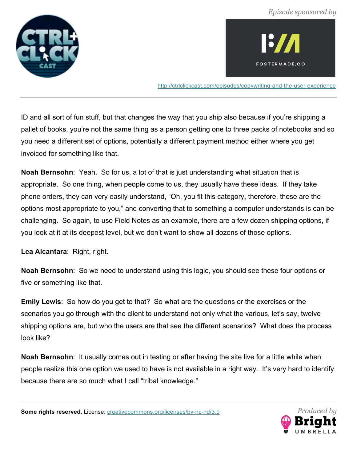



http://ctrlclickcast.com/episodes/copywriting-and-the-user-experience

ID and all sort of fun stuff, but that changes the way that you ship also because if you're shipping a pallet of books, you're not the same thing as a person getting one to three packs of notebooks and so you need a different set of options, potentially a different payment method either where you get invoiced for something like that.

**Noah Bernsohn**: Yeah. So for us, a lot of that is just understanding what situation that is appropriate. So one thing, when people come to us, they usually have these ideas. If they take phone orders, they can very easily understand, "Oh, you fit this category, therefore, these are the options most appropriate to you," and converting that to something a computer understands is can be challenging. So again, to use Field Notes as an example, there are a few dozen shipping options, if you look at it at its deepest level, but we don't want to show all dozens of those options.

**Lea Alcantara**: Right, right.

**Noah Bernsohn**: So we need to understand using this logic, you should see these four options or five or something like that.

**Emily Lewis**: So how do you get to that? So what are the questions or the exercises or the scenarios you go through with the client to understand not only what the various, let's say, twelve shipping options are, but who the users are that see the different scenarios? What does the process look like?

**Noah Bernsohn**: It usually comes out in testing or after having the site live for a little while when people realize this one option we used to have is not available in a right way. It's very hard to identify because there are so much what I call "tribal knowledge."

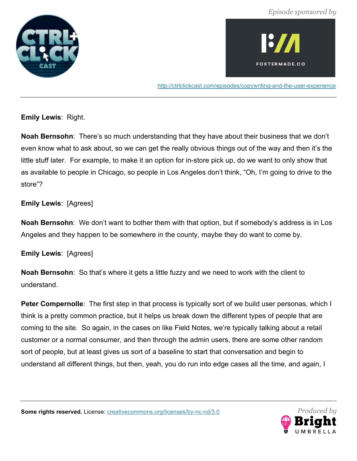



http://ctrlclickcast.com/episodes/copywriting-and-the-user-experience

**Emily Lewis**: Right.

**Noah Bernsohn**: There's so much understanding that they have about their business that we don't even know what to ask about, so we can get the really obvious things out of the way and then it's the little stuff later. For example, to make it an option for in-store pick up, do we want to only show that as available to people in Chicago, so people in Los Angeles don't think, "Oh, I'm going to drive to the store"?

## **Emily Lewis**: [Agrees]

**Noah Bernsohn**: We don't want to bother them with that option, but if somebody's address is in Los Angeles and they happen to be somewhere in the county, maybe they do want to come by.

**Emily Lewis**: [Agrees]

**Noah Bernsohn**: So that's where it gets a little fuzzy and we need to work with the client to understand.

**Peter Compernolle**: The first step in that process is typically sort of we build user personas, which I think is a pretty common practice, but it helps us break down the different types of people that are coming to the site. So again, in the cases on like Field Notes, we're typically talking about a retail customer or a normal consumer, and then through the admin users, there are some other random sort of people, but at least gives us sort of a baseline to start that conversation and begin to understand all different things, but then, yeah, you do run into edge cases all the time, and again, I

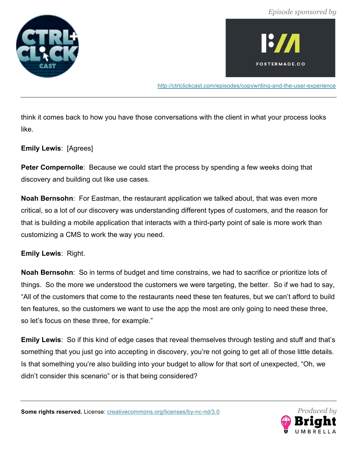



http://ctrlclickcast.com/episodes/copywriting-and-the-user-experience

think it comes back to how you have those conversations with the client in what your process looks like.

**Emily Lewis**: [Agrees]

**Peter Compernolle**: Because we could start the process by spending a few weeks doing that discovery and building out like use cases.

**Noah Bernsohn**: For Eastman, the restaurant application we talked about, that was even more critical, so a lot of our discovery was understanding different types of customers, and the reason for that is building a mobile application that interacts with a third-party point of sale is more work than customizing a CMS to work the way you need.

**Emily Lewis**: Right.

**Noah Bernsohn**: So in terms of budget and time constrains, we had to sacrifice or prioritize lots of things. So the more we understood the customers we were targeting, the better. So if we had to say, "All of the customers that come to the restaurants need these ten features, but we can't afford to build ten features, so the customers we want to use the app the most are only going to need these three, so let's focus on these three, for example."

**Emily Lewis**: So if this kind of edge cases that reveal themselves through testing and stuff and that's something that you just go into accepting in discovery, you're not going to get all of those little details. Is that something you're also building into your budget to allow for that sort of unexpected, "Oh, we didn't consider this scenario" or is that being considered?

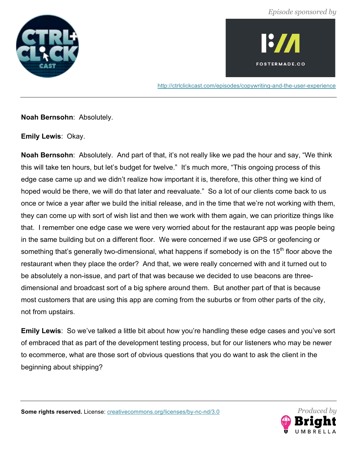



http://ctrlclickcast.com/episodes/copywriting-and-the-user-experience

**Noah Bernsohn**: Absolutely.

**Emily Lewis**: Okay.

**Noah Bernsohn**: Absolutely. And part of that, it's not really like we pad the hour and say, "We think this will take ten hours, but let's budget for twelve." It's much more, "This ongoing process of this edge case came up and we didn't realize how important it is, therefore, this other thing we kind of hoped would be there, we will do that later and reevaluate." So a lot of our clients come back to us once or twice a year after we build the initial release, and in the time that we're not working with them, they can come up with sort of wish list and then we work with them again, we can prioritize things like that. I remember one edge case we were very worried about for the restaurant app was people being in the same building but on a different floor. We were concerned if we use GPS or geofencing or something that's generally two-dimensional, what happens if somebody is on the 15<sup>th</sup> floor above the restaurant when they place the order? And that, we were really concerned with and it turned out to be absolutely a non-issue, and part of that was because we decided to use beacons are threedimensional and broadcast sort of a big sphere around them. But another part of that is because most customers that are using this app are coming from the suburbs or from other parts of the city, not from upstairs.

**Emily Lewis**: So we've talked a little bit about how you're handling these edge cases and you've sort of embraced that as part of the development testing process, but for our listeners who may be newer to ecommerce, what are those sort of obvious questions that you do want to ask the client in the beginning about shipping?

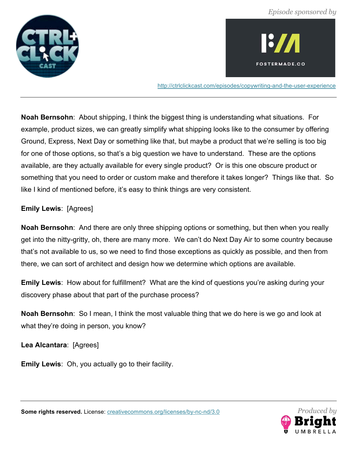



http://ctrlclickcast.com/episodes/copywriting-and-the-user-experience

**Noah Bernsohn**: About shipping, I think the biggest thing is understanding what situations. For example, product sizes, we can greatly simplify what shipping looks like to the consumer by offering Ground, Express, Next Day or something like that, but maybe a product that we're selling is too big for one of those options, so that's a big question we have to understand. These are the options available, are they actually available for every single product? Or is this one obscure product or something that you need to order or custom make and therefore it takes longer? Things like that. So like I kind of mentioned before, it's easy to think things are very consistent.

## **Emily Lewis**: [Agrees]

**Noah Bernsohn**: And there are only three shipping options or something, but then when you really get into the nitty-gritty, oh, there are many more. We can't do Next Day Air to some country because that's not available to us, so we need to find those exceptions as quickly as possible, and then from there, we can sort of architect and design how we determine which options are available.

**Emily Lewis**: How about for fulfillment? What are the kind of questions you're asking during your discovery phase about that part of the purchase process?

**Noah Bernsohn**: So I mean, I think the most valuable thing that we do here is we go and look at what they're doing in person, you know?

**Lea Alcantara**: [Agrees]

**Emily Lewis**: Oh, you actually go to their facility.

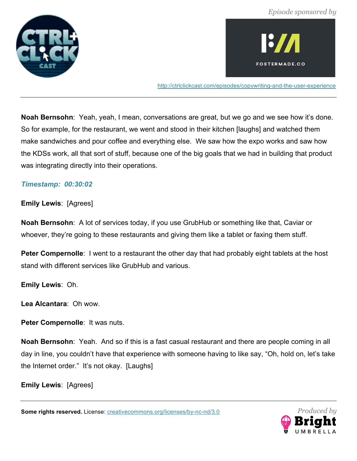



http://ctrlclickcast.com/episodes/copywriting-and-the-user-experience

**Noah Bernsohn**: Yeah, yeah, I mean, conversations are great, but we go and we see how it's done. So for example, for the restaurant, we went and stood in their kitchen [laughs] and watched them make sandwiches and pour coffee and everything else. We saw how the expo works and saw how the KDSs work, all that sort of stuff, because one of the big goals that we had in building that product was integrating directly into their operations.

#### *Timestamp: 00:30:02*

**Emily Lewis**: [Agrees]

**Noah Bernsohn**: A lot of services today, if you use GrubHub or something like that, Caviar or whoever, they're going to these restaurants and giving them like a tablet or faxing them stuff.

**Peter Compernolle**: I went to a restaurant the other day that had probably eight tablets at the host stand with different services like GrubHub and various.

**Emily Lewis**: Oh.

**Lea Alcantara**: Oh wow.

**Peter Compernolle**: It was nuts.

**Noah Bernsohn**: Yeah. And so if this is a fast casual restaurant and there are people coming in all day in line, you couldn't have that experience with someone having to like say, "Oh, hold on, let's take the Internet order." It's not okay. [Laughs]

**Emily Lewis**: [Agrees]

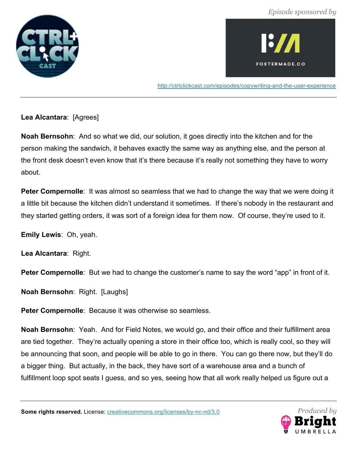



http://ctrlclickcast.com/episodes/copywriting-and-the-user-experience

## **Lea Alcantara**: [Agrees]

**Noah Bernsohn**: And so what we did, our solution, it goes directly into the kitchen and for the person making the sandwich, it behaves exactly the same way as anything else, and the person at the front desk doesn't even know that it's there because it's really not something they have to worry about.

**Peter Compernolle:** It was almost so seamless that we had to change the way that we were doing it a little bit because the kitchen didn't understand it sometimes. If there's nobody in the restaurant and they started getting orders, it was sort of a foreign idea for them now. Of course, they're used to it.

**Emily Lewis**: Oh, yeah.

Lea Alcantara: Right.

**Peter Compernolle**: But we had to change the customer's name to say the word "app" in front of it.

**Noah Bernsohn**: Right. [Laughs]

**Peter Compernolle**: Because it was otherwise so seamless.

**Noah Bernsohn**: Yeah. And for Field Notes, we would go, and their office and their fulfillment area are tied together. They're actually opening a store in their office too, which is really cool, so they will be announcing that soon, and people will be able to go in there. You can go there now, but they'll do a bigger thing. But actually, in the back, they have sort of a warehouse area and a bunch of fulfillment loop spot seats I guess, and so yes, seeing how that all work really helped us figure out a

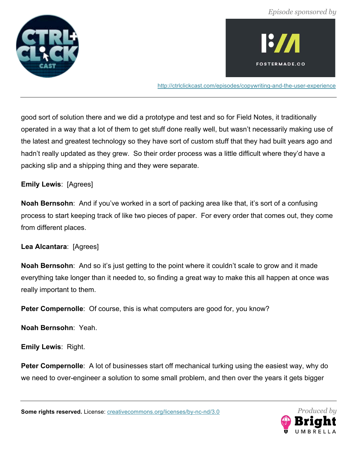



http://ctrlclickcast.com/episodes/copywriting-and-the-user-experience

good sort of solution there and we did a prototype and test and so for Field Notes, it traditionally operated in a way that a lot of them to get stuff done really well, but wasn't necessarily making use of the latest and greatest technology so they have sort of custom stuff that they had built years ago and hadn't really updated as they grew. So their order process was a little difficult where they'd have a packing slip and a shipping thing and they were separate.

#### **Emily Lewis**: [Agrees]

**Noah Bernsohn**: And if you've worked in a sort of packing area like that, it's sort of a confusing process to start keeping track of like two pieces of paper. For every order that comes out, they come from different places.

## **Lea Alcantara**: [Agrees]

**Noah Bernsohn**: And so it's just getting to the point where it couldn't scale to grow and it made everything take longer than it needed to, so finding a great way to make this all happen at once was really important to them.

**Peter Compernolle**: Of course, this is what computers are good for, you know?

**Noah Bernsohn**: Yeah.

**Emily Lewis**: Right.

**Peter Compernolle**: A lot of businesses start off mechanical turking using the easiest way, why do we need to over-engineer a solution to some small problem, and then over the years it gets bigger

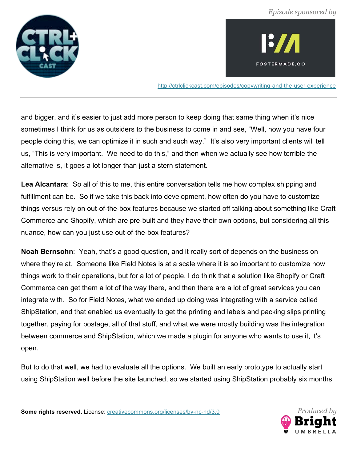



http://ctrlclickcast.com/episodes/copywriting-and-the-user-experience

and bigger, and it's easier to just add more person to keep doing that same thing when it's nice sometimes I think for us as outsiders to the business to come in and see, "Well, now you have four people doing this, we can optimize it in such and such way." It's also very important clients will tell us, "This is very important. We need to do this," and then when we actually see how terrible the alternative is, it goes a lot longer than just a stern statement.

**Lea Alcantara**: So all of this to me, this entire conversation tells me how complex shipping and fulfillment can be. So if we take this back into development, how often do you have to customize things versus rely on out-of-the-box features because we started off talking about something like Craft Commerce and Shopify, which are pre-built and they have their own options, but considering all this nuance, how can you just use out-of-the-box features?

**Noah Bernsohn**: Yeah, that's a good question, and it really sort of depends on the business on where they're at. Someone like Field Notes is at a scale where it is so important to customize how things work to their operations, but for a lot of people, I do think that a solution like Shopify or Craft Commerce can get them a lot of the way there, and then there are a lot of great services you can integrate with. So for Field Notes, what we ended up doing was integrating with a service called ShipStation, and that enabled us eventually to get the printing and labels and packing slips printing together, paying for postage, all of that stuff, and what we were mostly building was the integration between commerce and ShipStation, which we made a plugin for anyone who wants to use it, it's open.

But to do that well, we had to evaluate all the options. We built an early prototype to actually start using ShipStation well before the site launched, so we started using ShipStation probably six months

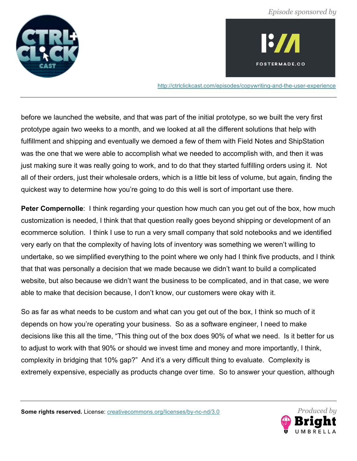



http://ctrlclickcast.com/episodes/copywriting-and-the-user-experience

before we launched the website, and that was part of the initial prototype, so we built the very first prototype again two weeks to a month, and we looked at all the different solutions that help with fulfillment and shipping and eventually we demoed a few of them with Field Notes and ShipStation was the one that we were able to accomplish what we needed to accomplish with, and then it was just making sure it was really going to work, and to do that they started fulfilling orders using it. Not all of their orders, just their wholesale orders, which is a little bit less of volume, but again, finding the quickest way to determine how you're going to do this well is sort of important use there.

**Peter Compernolle:** I think regarding your question how much can you get out of the box, how much customization is needed, I think that that question really goes beyond shipping or development of an ecommerce solution. I think I use to run a very small company that sold notebooks and we identified very early on that the complexity of having lots of inventory was something we weren't willing to undertake, so we simplified everything to the point where we only had I think five products, and I think that that was personally a decision that we made because we didn't want to build a complicated website, but also because we didn't want the business to be complicated, and in that case, we were able to make that decision because, I don't know, our customers were okay with it.

So as far as what needs to be custom and what can you get out of the box, I think so much of it depends on how you're operating your business. So as a software engineer, I need to make decisions like this all the time, "This thing out of the box does 90% of what we need. Is it better for us to adjust to work with that 90% or should we invest time and money and more importantly, I think, complexity in bridging that 10% gap?" And it's a very difficult thing to evaluate. Complexity is extremely expensive, especially as products change over time. So to answer your question, although

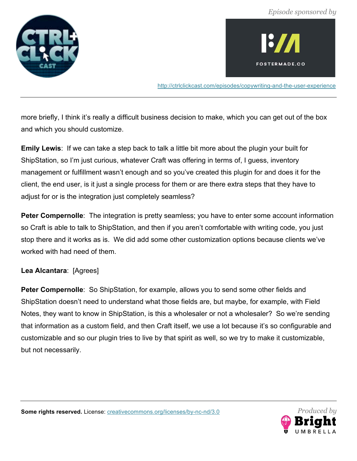



http://ctrlclickcast.com/episodes/copywriting-and-the-user-experience

more briefly, I think it's really a difficult business decision to make, which you can get out of the box and which you should customize.

**Emily Lewis**: If we can take a step back to talk a little bit more about the plugin your built for ShipStation, so I'm just curious, whatever Craft was offering in terms of, I guess, inventory management or fulfillment wasn't enough and so you've created this plugin for and does it for the client, the end user, is it just a single process for them or are there extra steps that they have to adjust for or is the integration just completely seamless?

**Peter Compernolle**: The integration is pretty seamless; you have to enter some account information so Craft is able to talk to ShipStation, and then if you aren't comfortable with writing code, you just stop there and it works as is. We did add some other customization options because clients we've worked with had need of them.

# **Lea Alcantara**: [Agrees]

**Peter Compernolle**: So ShipStation, for example, allows you to send some other fields and ShipStation doesn't need to understand what those fields are, but maybe, for example, with Field Notes, they want to know in ShipStation, is this a wholesaler or not a wholesaler? So we're sending that information as a custom field, and then Craft itself, we use a lot because it's so configurable and customizable and so our plugin tries to live by that spirit as well, so we try to make it customizable, but not necessarily.

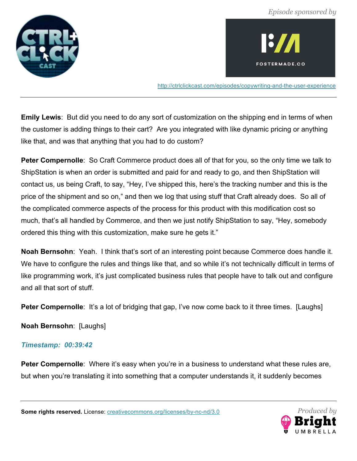



http://ctrlclickcast.com/episodes/copywriting-and-the-user-experience

**Emily Lewis**: But did you need to do any sort of customization on the shipping end in terms of when the customer is adding things to their cart? Are you integrated with like dynamic pricing or anything like that, and was that anything that you had to do custom?

**Peter Compernolle**: So Craft Commerce product does all of that for you, so the only time we talk to ShipStation is when an order is submitted and paid for and ready to go, and then ShipStation will contact us, us being Craft, to say, "Hey, I've shipped this, here's the tracking number and this is the price of the shipment and so on," and then we log that using stuff that Craft already does. So all of the complicated commerce aspects of the process for this product with this modification cost so much, that's all handled by Commerce, and then we just notify ShipStation to say, "Hey, somebody ordered this thing with this customization, make sure he gets it."

**Noah Bernsohn**: Yeah. I think that's sort of an interesting point because Commerce does handle it. We have to configure the rules and things like that, and so while it's not technically difficult in terms of like programming work, it's just complicated business rules that people have to talk out and configure and all that sort of stuff.

**Peter Compernolle:** It's a lot of bridging that gap, I've now come back to it three times. [Laughs]

**Noah Bernsohn**: [Laughs]

# *Timestamp: 00:39:42*

**Peter Compernolle**: Where it's easy when you're in a business to understand what these rules are, but when you're translating it into something that a computer understands it, it suddenly becomes

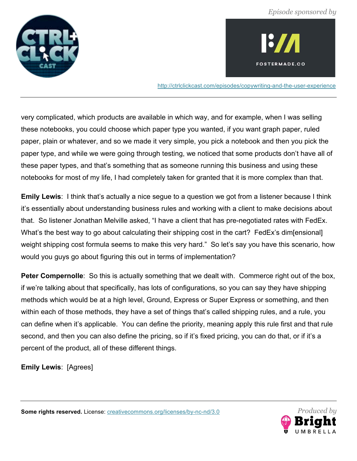



http://ctrlclickcast.com/episodes/copywriting-and-the-user-experience

very complicated, which products are available in which way, and for example, when I was selling these notebooks, you could choose which paper type you wanted, if you want graph paper, ruled paper, plain or whatever, and so we made it very simple, you pick a notebook and then you pick the paper type, and while we were going through testing, we noticed that some products don't have all of these paper types, and that's something that as someone running this business and using these notebooks for most of my life, I had completely taken for granted that it is more complex than that.

**Emily Lewis**: I think that's actually a nice segue to a question we got from a listener because I think it's essentially about understanding business rules and working with a client to make decisions about that. So listener Jonathan Melville asked, "I have a client that has pre-negotiated rates with FedEx. What's the best way to go about calculating their shipping cost in the cart? FedEx's dim[ensional] weight shipping cost formula seems to make this very hard." So let's say you have this scenario, how would you guys go about figuring this out in terms of implementation?

**Peter Compernolle:** So this is actually something that we dealt with. Commerce right out of the box, if we're talking about that specifically, has lots of configurations, so you can say they have shipping methods which would be at a high level, Ground, Express or Super Express or something, and then within each of those methods, they have a set of things that's called shipping rules, and a rule, you can define when it's applicable. You can define the priority, meaning apply this rule first and that rule second, and then you can also define the pricing, so if it's fixed pricing, you can do that, or if it's a percent of the product, all of these different things.

**Emily Lewis**: [Agrees]

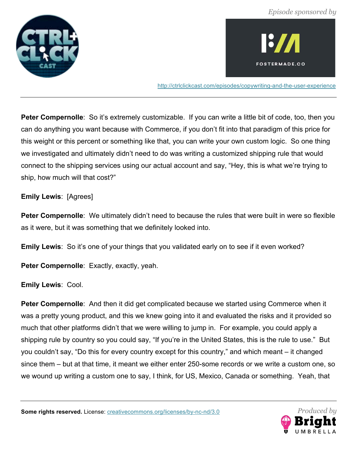



http://ctrlclickcast.com/episodes/copywriting-and-the-user-experience

**Peter Compernolle**: So it's extremely customizable. If you can write a little bit of code, too, then you can do anything you want because with Commerce, if you don't fit into that paradigm of this price for this weight or this percent or something like that, you can write your own custom logic. So one thing we investigated and ultimately didn't need to do was writing a customized shipping rule that would connect to the shipping services using our actual account and say, "Hey, this is what we're trying to ship, how much will that cost?"

**Emily Lewis**: [Agrees]

**Peter Compernolle**: We ultimately didn't need to because the rules that were built in were so flexible as it were, but it was something that we definitely looked into.

**Emily Lewis**: So it's one of your things that you validated early on to see if it even worked?

Peter Compernolle: Exactly, exactly, yeah.

**Emily Lewis**: Cool.

**Peter Compernolle**: And then it did get complicated because we started using Commerce when it was a pretty young product, and this we knew going into it and evaluated the risks and it provided so much that other platforms didn't that we were willing to jump in. For example, you could apply a shipping rule by country so you could say, "If you're in the United States, this is the rule to use." But you couldn't say, "Do this for every country except for this country," and which meant – it changed since them – but at that time, it meant we either enter 250-some records or we write a custom one, so we wound up writing a custom one to say, I think, for US, Mexico, Canada or something. Yeah, that

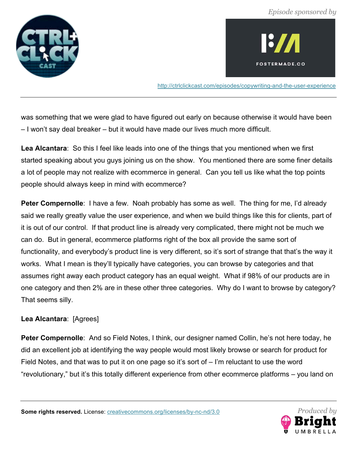



http://ctrlclickcast.com/episodes/copywriting-and-the-user-experience

was something that we were glad to have figured out early on because otherwise it would have been – I won't say deal breaker – but it would have made our lives much more difficult.

**Lea Alcantara**: So this I feel like leads into one of the things that you mentioned when we first started speaking about you guys joining us on the show. You mentioned there are some finer details a lot of people may not realize with ecommerce in general. Can you tell us like what the top points people should always keep in mind with ecommerce?

**Peter Compernolle:** I have a few. Noah probably has some as well. The thing for me, I'd already said we really greatly value the user experience, and when we build things like this for clients, part of it is out of our control. If that product line is already very complicated, there might not be much we can do. But in general, ecommerce platforms right of the box all provide the same sort of functionality, and everybody's product line is very different, so it's sort of strange that that's the way it works. What I mean is they'll typically have categories, you can browse by categories and that assumes right away each product category has an equal weight. What if 98% of our products are in one category and then 2% are in these other three categories. Why do I want to browse by category? That seems silly.

# **Lea Alcantara**: [Agrees]

**Peter Compernolle**: And so Field Notes, I think, our designer named Collin, he's not here today, he did an excellent job at identifying the way people would most likely browse or search for product for Field Notes, and that was to put it on one page so it's sort of – I'm reluctant to use the word "revolutionary," but it's this totally different experience from other ecommerce platforms – you land on

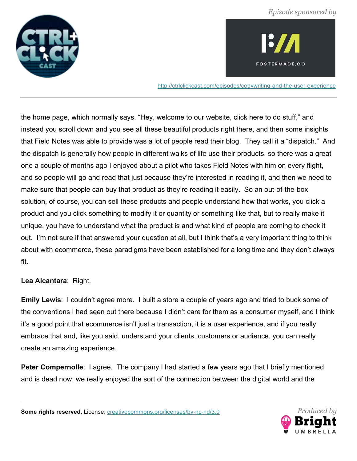



http://ctrlclickcast.com/episodes/copywriting-and-the-user-experience

the home page, which normally says, "Hey, welcome to our website, click here to do stuff," and instead you scroll down and you see all these beautiful products right there, and then some insights that Field Notes was able to provide was a lot of people read their blog. They call it a "dispatch." And the dispatch is generally how people in different walks of life use their products, so there was a great one a couple of months ago I enjoyed about a pilot who takes Field Notes with him on every flight, and so people will go and read that just because they're interested in reading it, and then we need to make sure that people can buy that product as they're reading it easily. So an out-of-the-box solution, of course, you can sell these products and people understand how that works, you click a product and you click something to modify it or quantity or something like that, but to really make it unique, you have to understand what the product is and what kind of people are coming to check it out. I'm not sure if that answered your question at all, but I think that's a very important thing to think about with ecommerce, these paradigms have been established for a long time and they don't always fit.

## **Lea Alcantara**: Right.

**Emily Lewis**: I couldn't agree more. I built a store a couple of years ago and tried to buck some of the conventions I had seen out there because I didn't care for them as a consumer myself, and I think it's a good point that ecommerce isn't just a transaction, it is a user experience, and if you really embrace that and, like you said, understand your clients, customers or audience, you can really create an amazing experience.

**Peter Compernolle**: I agree. The company I had started a few years ago that I briefly mentioned and is dead now, we really enjoyed the sort of the connection between the digital world and the

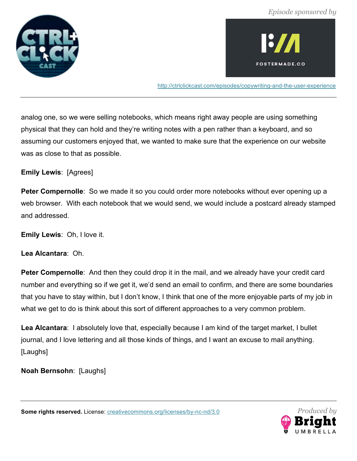



http://ctrlclickcast.com/episodes/copywriting-and-the-user-experience

analog one, so we were selling notebooks, which means right away people are using something physical that they can hold and they're writing notes with a pen rather than a keyboard, and so assuming our customers enjoyed that, we wanted to make sure that the experience on our website was as close to that as possible.

**Emily Lewis**: [Agrees]

**Peter Compernolle**: So we made it so you could order more notebooks without ever opening up a web browser. With each notebook that we would send, we would include a postcard already stamped and addressed.

**Emily Lewis**: Oh, I love it.

**Lea Alcantara**: Oh.

**Peter Compernolle**: And then they could drop it in the mail, and we already have your credit card number and everything so if we get it, we'd send an email to confirm, and there are some boundaries that you have to stay within, but I don't know, I think that one of the more enjoyable parts of my job in what we get to do is think about this sort of different approaches to a very common problem.

**Lea Alcantara**: I absolutely love that, especially because I am kind of the target market, I bullet journal, and I love lettering and all those kinds of things, and I want an excuse to mail anything. [Laughs]

**Noah Bernsohn**: [Laughs]

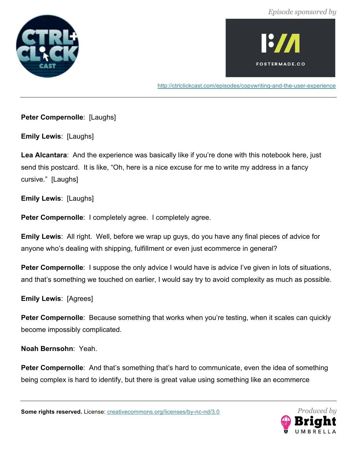



http://ctrlclickcast.com/episodes/copywriting-and-the-user-experience

**Peter Compernolle**: [Laughs]

**Emily Lewis**: [Laughs]

Lea Alcantara: And the experience was basically like if you're done with this notebook here, just send this postcard. It is like, "Oh, here is a nice excuse for me to write my address in a fancy cursive." [Laughs]

**Emily Lewis**: [Laughs]

**Peter Compernolle**: I completely agree. I completely agree.

**Emily Lewis**: All right. Well, before we wrap up guys, do you have any final pieces of advice for anyone who's dealing with shipping, fulfillment or even just ecommerce in general?

**Peter Compernolle**: I suppose the only advice I would have is advice I've given in lots of situations, and that's something we touched on earlier, I would say try to avoid complexity as much as possible.

**Emily Lewis**: [Agrees]

**Peter Compernolle**: Because something that works when you're testing, when it scales can quickly become impossibly complicated.

**Noah Bernsohn**: Yeah.

**Peter Compernolle:** And that's something that's hard to communicate, even the idea of something being complex is hard to identify, but there is great value using something like an ecommerce

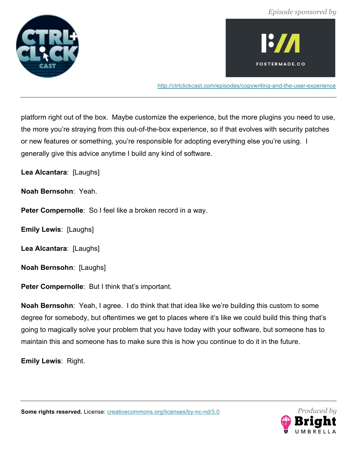



http://ctrlclickcast.com/episodes/copywriting-and-the-user-experience

platform right out of the box. Maybe customize the experience, but the more plugins you need to use, the more you're straying from this out-of-the-box experience, so if that evolves with security patches or new features or something, you're responsible for adopting everything else you're using. I generally give this advice anytime I build any kind of software.

**Lea Alcantara**: [Laughs]

**Noah Bernsohn**: Yeah.

**Peter Compernolle**: So I feel like a broken record in a way.

**Emily Lewis**: [Laughs]

**Lea Alcantara**: [Laughs]

**Noah Bernsohn**: [Laughs]

Peter Compernolle: But I think that's important.

**Noah Bernsohn**: Yeah, I agree. I do think that that idea like we're building this custom to some degree for somebody, but oftentimes we get to places where it's like we could build this thing that's going to magically solve your problem that you have today with your software, but someone has to maintain this and someone has to make sure this is how you continue to do it in the future.

**Emily Lewis**: Right.

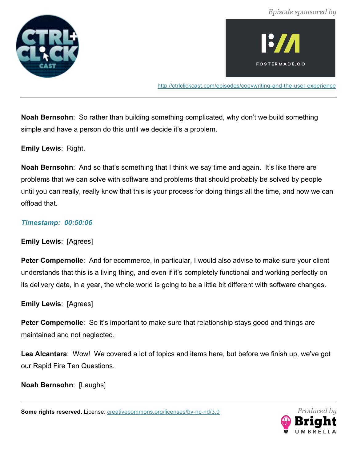



http://ctrlclickcast.com/episodes/copywriting-and-the-user-experience

**Noah Bernsohn**: So rather than building something complicated, why don't we build something simple and have a person do this until we decide it's a problem.

**Emily Lewis**: Right.

**Noah Bernsohn**: And so that's something that I think we say time and again. It's like there are problems that we can solve with software and problems that should probably be solved by people until you can really, really know that this is your process for doing things all the time, and now we can offload that.

#### *Timestamp: 00:50:06*

**Emily Lewis**: [Agrees]

**Peter Compernolle**: And for ecommerce, in particular, I would also advise to make sure your client understands that this is a living thing, and even if it's completely functional and working perfectly on its delivery date, in a year, the whole world is going to be a little bit different with software changes.

**Emily Lewis**: [Agrees]

**Peter Compernolle**: So it's important to make sure that relationship stays good and things are maintained and not neglected.

**Lea Alcantara**: Wow! We covered a lot of topics and items here, but before we finish up, we've got our Rapid Fire Ten Questions.

**Noah Bernsohn**: [Laughs]

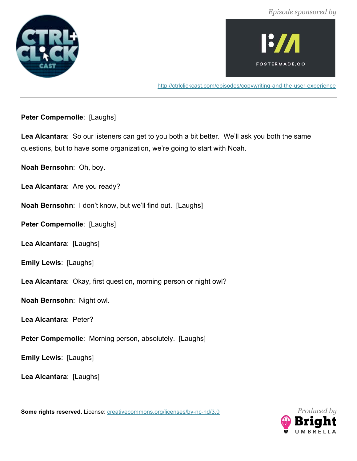



http://ctrlclickcast.com/episodes/copywriting-and-the-user-experience

**Peter Compernolle**: [Laughs]

**Lea Alcantara**: So our listeners can get to you both a bit better. We'll ask you both the same questions, but to have some organization, we're going to start with Noah.

**Noah Bernsohn**: Oh, boy.

**Lea Alcantara**: Are you ready?

**Noah Bernsohn**: I don't know, but we'll find out. [Laughs]

**Peter Compernolle: [Laughs]** 

**Lea Alcantara**: [Laughs]

**Emily Lewis**: [Laughs]

**Lea Alcantara**: Okay, first question, morning person or night owl?

**Noah Bernsohn**: Night owl.

**Lea Alcantara**: Peter?

**Peter Compernolle**: Morning person, absolutely. [Laughs]

**Emily Lewis**: [Laughs]

**Lea Alcantara**: [Laughs]

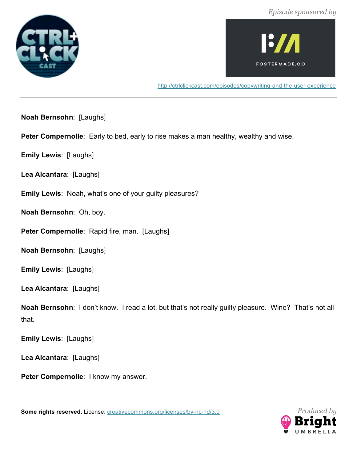



http://ctrlclickcast.com/episodes/copywriting-and-the-user-experience

**Noah Bernsohn**: [Laughs]

**Peter Compernolle**: Early to bed, early to rise makes a man healthy, wealthy and wise.

**Emily Lewis**: [Laughs]

**Lea Alcantara**: [Laughs]

**Emily Lewis**: Noah, what's one of your guilty pleasures?

**Noah Bernsohn**: Oh, boy.

Peter Compernolle: Rapid fire, man. [Laughs]

**Noah Bernsohn**: [Laughs]

**Emily Lewis**: [Laughs]

**Lea Alcantara**: [Laughs]

**Noah Bernsohn**: I don't know. I read a lot, but that's not really guilty pleasure. Wine? That's not all that.

**Emily Lewis**: [Laughs]

**Lea Alcantara**: [Laughs]

**Peter Compernolle**: I know my answer.

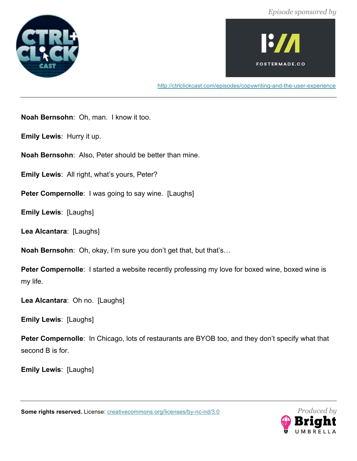



http://ctrlclickcast.com/episodes/copywriting-and-the-user-experience

**Noah Bernsohn**: Oh, man. I know it too.

**Emily Lewis**: Hurry it up.

**Noah Bernsohn**: Also, Peter should be better than mine.

**Emily Lewis**: All right, what's yours, Peter?

**Peter Compernolle:** I was going to say wine. [Laughs]

**Emily Lewis**: [Laughs]

**Lea Alcantara**: [Laughs]

**Noah Bernsohn**: Oh, okay, I'm sure you don't get that, but that's…

**Peter Compernolle:** I started a website recently professing my love for boxed wine, boxed wine is my life.

**Lea Alcantara**: Oh no. [Laughs]

**Emily Lewis**: [Laughs]

**Peter Compernolle**: In Chicago, lots of restaurants are BYOB too, and they don't specify what that second B is for.

**Emily Lewis**: [Laughs]

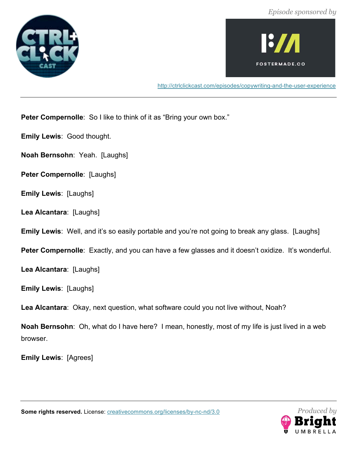



http://ctrlclickcast.com/episodes/copywriting-and-the-user-experience

**Peter Compernolle:** So I like to think of it as "Bring your own box."

**Emily Lewis**: Good thought.

**Noah Bernsohn**: Yeah. [Laughs]

- **Peter Compernolle: [Laughs]**
- **Emily Lewis**: [Laughs]

**Lea Alcantara**: [Laughs]

**Emily Lewis**: Well, and it's so easily portable and you're not going to break any glass. [Laughs]

**Peter Compernolle**: Exactly, and you can have a few glasses and it doesn't oxidize. It's wonderful.

**Lea Alcantara**: [Laughs]

**Emily Lewis**: [Laughs]

**Lea Alcantara**: Okay, next question, what software could you not live without, Noah?

**Noah Bernsohn**: Oh, what do I have here? I mean, honestly, most of my life is just lived in a web browser.

**Emily Lewis**: [Agrees]



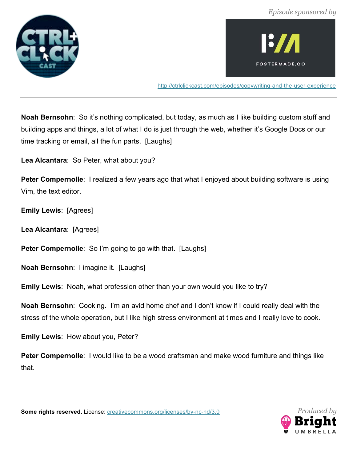



http://ctrlclickcast.com/episodes/copywriting-and-the-user-experience

**Noah Bernsohn**: So it's nothing complicated, but today, as much as I like building custom stuff and building apps and things, a lot of what I do is just through the web, whether it's Google Docs or our time tracking or email, all the fun parts. [Laughs]

**Lea Alcantara**: So Peter, what about you?

**Peter Compernolle**: I realized a few years ago that what I enjoyed about building software is using Vim, the text editor.

**Emily Lewis**: [Agrees]

**Lea Alcantara**: [Agrees]

**Peter Compernolle:** So I'm going to go with that. [Laughs]

**Noah Bernsohn**: I imagine it. [Laughs]

**Emily Lewis**: Noah, what profession other than your own would you like to try?

**Noah Bernsohn**: Cooking. I'm an avid home chef and I don't know if I could really deal with the stress of the whole operation, but I like high stress environment at times and I really love to cook.

**Emily Lewis**: How about you, Peter?

**Peter Compernolle**: I would like to be a wood craftsman and make wood furniture and things like that.

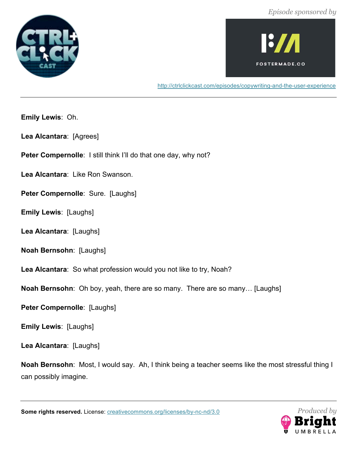



http://ctrlclickcast.com/episodes/copywriting-and-the-user-experience

**Emily Lewis**: Oh.

**Lea Alcantara**: [Agrees]

Peter Compernolle: I still think I'll do that one day, why not?

**Lea Alcantara**: Like Ron Swanson.

Peter Compernolle: Sure. [Laughs]

**Emily Lewis**: [Laughs]

**Lea Alcantara**: [Laughs]

**Noah Bernsohn**: [Laughs]

**Lea Alcantara**: So what profession would you not like to try, Noah?

**Noah Bernsohn**: Oh boy, yeah, there are so many. There are so many… [Laughs]

**Peter Compernolle**: [Laughs]

**Emily Lewis**: [Laughs]

**Lea Alcantara**: [Laughs]

**Noah Bernsohn**: Most, I would say. Ah, I think being a teacher seems like the most stressful thing I can possibly imagine.

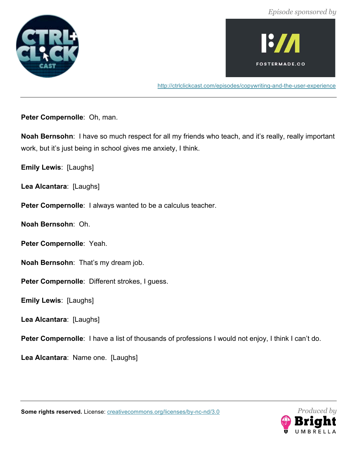



http://ctrlclickcast.com/episodes/copywriting-and-the-user-experience

**Peter Compernolle**: Oh, man.

**Noah Bernsohn**: I have so much respect for all my friends who teach, and it's really, really important work, but it's just being in school gives me anxiety, I think.

**Emily Lewis**: [Laughs]

**Lea Alcantara**: [Laughs]

**Peter Compernolle**: I always wanted to be a calculus teacher.

**Noah Bernsohn**: Oh.

**Peter Compernolle**: Yeah.

**Noah Bernsohn**: That's my dream job.

**Peter Compernolle**: Different strokes, I guess.

**Emily Lewis**: [Laughs]

**Lea Alcantara**: [Laughs]

Peter Compernolle: I have a list of thousands of professions I would not enjoy, I think I can't do.

**Lea Alcantara**: Name one. [Laughs]



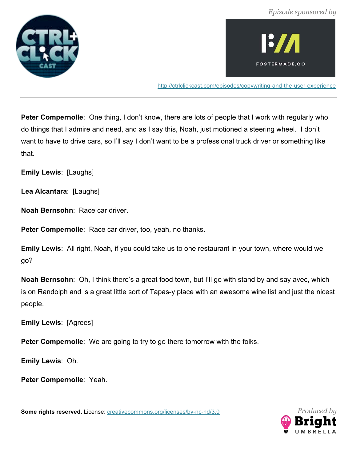



http://ctrlclickcast.com/episodes/copywriting-and-the-user-experience

**Peter Compernolle**: One thing, I don't know, there are lots of people that I work with regularly who do things that I admire and need, and as I say this, Noah, just motioned a steering wheel. I don't want to have to drive cars, so I'll say I don't want to be a professional truck driver or something like that.

**Emily Lewis**: [Laughs]

**Lea Alcantara**: [Laughs]

**Noah Bernsohn**: Race car driver.

**Peter Compernolle**: Race car driver, too, yeah, no thanks.

**Emily Lewis**: All right, Noah, if you could take us to one restaurant in your town, where would we go?

**Noah Bernsohn**: Oh, I think there's a great food town, but I'll go with stand by and say avec, which is on Randolph and is a great little sort of Tapas-y place with an awesome wine list and just the nicest people.

**Emily Lewis**: [Agrees]

**Peter Compernolle**: We are going to try to go there tomorrow with the folks.

**Emily Lewis**: Oh.

**Peter Compernolle**: Yeah.

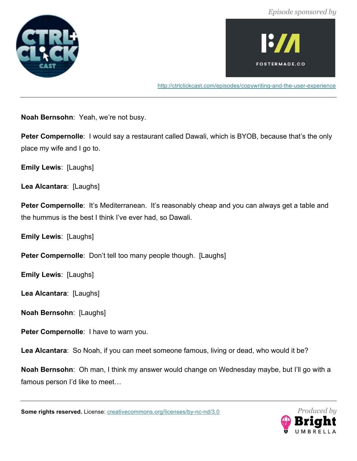



http://ctrlclickcast.com/episodes/copywriting-and-the-user-experience

**Noah Bernsohn**: Yeah, we're not busy.

**Peter Compernolle:** I would say a restaurant called Dawali, which is BYOB, because that's the only place my wife and I go to.

**Emily Lewis**: [Laughs]

**Lea Alcantara**: [Laughs]

**Peter Compernolle:** It's Mediterranean. It's reasonably cheap and you can always get a table and the hummus is the best I think I've ever had, so Dawali.

**Emily Lewis**: [Laughs]

**Peter Compernolle:** Don't tell too many people though. [Laughs]

**Emily Lewis**: [Laughs]

**Lea Alcantara**: [Laughs]

**Noah Bernsohn**: [Laughs]

**Peter Compernolle**: I have to warn you.

**Lea Alcantara**: So Noah, if you can meet someone famous, living or dead, who would it be?

**Noah Bernsohn**: Oh man, I think my answer would change on Wednesday maybe, but I'll go with a famous person I'd like to meet…

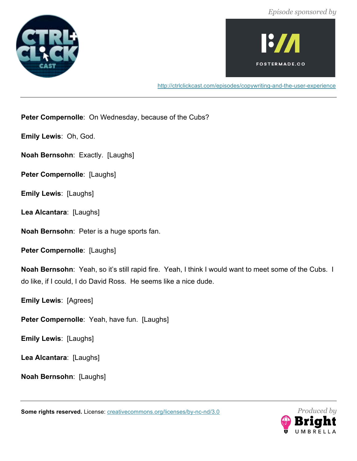



http://ctrlclickcast.com/episodes/copywriting-and-the-user-experience

**Peter Compernolle**: On Wednesday, because of the Cubs?

**Emily Lewis**: Oh, God.

**Noah Bernsohn**: Exactly. [Laughs]

**Peter Compernolle**: [Laughs]

**Emily Lewis**: [Laughs]

**Lea Alcantara**: [Laughs]

**Noah Bernsohn**: Peter is a huge sports fan.

**Peter Compernolle: [Laughs]** 

**Noah Bernsohn**: Yeah, so it's still rapid fire. Yeah, I think I would want to meet some of the Cubs. I do like, if I could, I do David Ross. He seems like a nice dude.

**Emily Lewis**: [Agrees]

**Peter Compernolle**: Yeah, have fun. [Laughs]

**Emily Lewis**: [Laughs]

**Lea Alcantara**: [Laughs]

**Noah Bernsohn**: [Laughs]

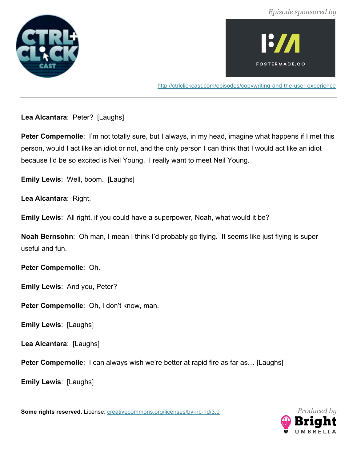



http://ctrlclickcast.com/episodes/copywriting-and-the-user-experience

**Lea Alcantara**: Peter? [Laughs]

**Peter Compernolle**: I'm not totally sure, but I always, in my head, imagine what happens if I met this person, would I act like an idiot or not, and the only person I can think that I would act like an idiot because I'd be so excited is Neil Young. I really want to meet Neil Young.

**Emily Lewis**: Well, boom. [Laughs]

**Lea Alcantara**: Right.

**Emily Lewis**: All right, if you could have a superpower, Noah, what would it be?

**Noah Bernsohn**: Oh man, I mean I think I'd probably go flying. It seems like just flying is super useful and fun.

**Peter Compernolle**: Oh.

**Emily Lewis**: And you, Peter?

**Peter Compernolle**: Oh, I don't know, man.

**Emily Lewis**: [Laughs]

**Lea Alcantara**: [Laughs]

**Peter Compernolle**: I can always wish we're better at rapid fire as far as... [Laughs]

**Emily Lewis**: [Laughs]

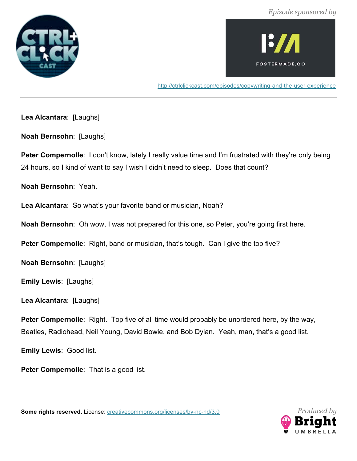



http://ctrlclickcast.com/episodes/copywriting-and-the-user-experience

**Lea Alcantara**: [Laughs]

**Noah Bernsohn**: [Laughs]

**Peter Compernolle**: I don't know, lately I really value time and I'm frustrated with they're only being 24 hours, so I kind of want to say I wish I didn't need to sleep. Does that count?

**Noah Bernsohn**: Yeah.

**Lea Alcantara**: So what's your favorite band or musician, Noah?

**Noah Bernsohn**: Oh wow, I was not prepared for this one, so Peter, you're going first here.

**Peter Compernolle:** Right, band or musician, that's tough. Can I give the top five?

**Noah Bernsohn**: [Laughs]

**Emily Lewis**: [Laughs]

**Lea Alcantara**: [Laughs]

**Peter Compernolle**: Right. Top five of all time would probably be unordered here, by the way, Beatles, Radiohead, Neil Young, David Bowie, and Bob Dylan. Yeah, man, that's a good list.

**Emily Lewis**: Good list.

**Peter Compernolle:** That is a good list.

*Produced by*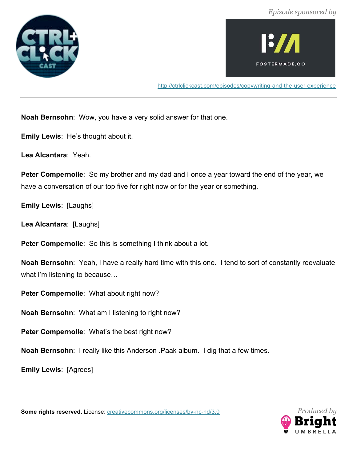



http://ctrlclickcast.com/episodes/copywriting-and-the-user-experience

**Noah Bernsohn**: Wow, you have a very solid answer for that one.

**Emily Lewis**: He's thought about it.

**Lea Alcantara**: Yeah.

**Peter Compernolle**: So my brother and my dad and I once a year toward the end of the year, we have a conversation of our top five for right now or for the year or something.

**Emily Lewis**: [Laughs]

**Lea Alcantara**: [Laughs]

**Peter Compernolle:** So this is something I think about a lot.

**Noah Bernsohn**: Yeah, I have a really hard time with this one. I tend to sort of constantly reevaluate what I'm listening to because…

**Peter Compernolle**: What about right now?

**Noah Bernsohn**: What am I listening to right now?

**Peter Compernolle**: What's the best right now?

**Noah Bernsohn**: I really like this Anderson .Paak album. I dig that a few times.

**Emily Lewis**: [Agrees]

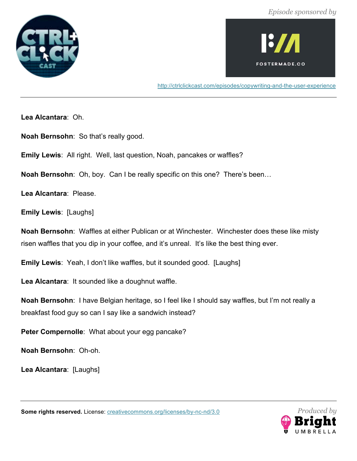



http://ctrlclickcast.com/episodes/copywriting-and-the-user-experience

**Lea Alcantara**: Oh.

**Noah Bernsohn**: So that's really good.

**Emily Lewis**: All right. Well, last question, Noah, pancakes or waffles?

**Noah Bernsohn**: Oh, boy. Can I be really specific on this one? There's been…

**Lea Alcantara**: Please.

**Emily Lewis**: [Laughs]

**Noah Bernsohn**: Waffles at either Publican or at Winchester. Winchester does these like misty risen waffles that you dip in your coffee, and it's unreal. It's like the best thing ever.

**Emily Lewis**: Yeah, I don't like waffles, but it sounded good. [Laughs]

**Lea Alcantara**: It sounded like a doughnut waffle.

**Noah Bernsohn**: I have Belgian heritage, so I feel like I should say waffles, but I'm not really a breakfast food guy so can I say like a sandwich instead?

**Peter Compernolle**: What about your egg pancake?

**Noah Bernsohn**: Oh-oh.

**Lea Alcantara**: [Laughs]

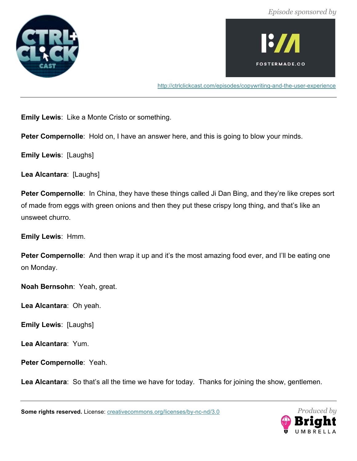



http://ctrlclickcast.com/episodes/copywriting-and-the-user-experience

**Emily Lewis**: Like a Monte Cristo or something.

**Peter Compernolle**: Hold on, I have an answer here, and this is going to blow your minds.

**Emily Lewis**: [Laughs]

**Lea Alcantara**: [Laughs]

**Peter Compernolle:** In China, they have these things called Ji Dan Bing, and they're like crepes sort of made from eggs with green onions and then they put these crispy long thing, and that's like an unsweet churro.

**Emily Lewis**: Hmm.

**Peter Compernolle**: And then wrap it up and it's the most amazing food ever, and I'll be eating one on Monday.

**Noah Bernsohn**: Yeah, great.

**Lea Alcantara**: Oh yeah.

**Emily Lewis**: [Laughs]

**Lea Alcantara**: Yum.

**Peter Compernolle**: Yeah.

Lea Alcantara: So that's all the time we have for today. Thanks for joining the show, gentlemen.

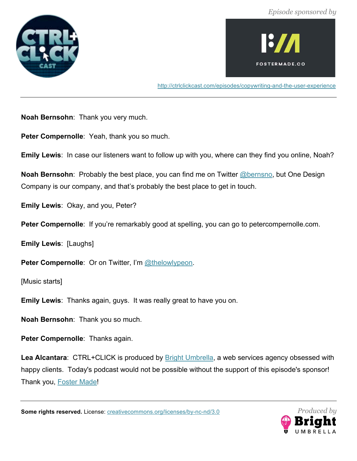



http://ctrlclickcast.com/episodes/copywriting-and-the-user-experience

**Noah Bernsohn**: Thank you very much.

**Peter Compernolle**: Yeah, thank you so much.

**Emily Lewis**: In case our listeners want to follow up with you, where can they find you online, Noah?

**Noah Bernsohn**: Probably the best place, you can find me on Twitter @bernsno, but One Design Company is our company, and that's probably the best place to get in touch.

**Emily Lewis**: Okay, and you, Peter?

**Peter Compernolle**: If you're remarkably good at spelling, you can go to petercompernolle.com.

**Emily Lewis**: [Laughs]

Peter Compernolle: Or on Twitter, I'm @thelowlypeon.

[Music starts]

**Emily Lewis**: Thanks again, guys. It was really great to have you on.

**Noah Bernsohn**: Thank you so much.

**Peter Compernolle**: Thanks again.

Lea Alcantara: CTRL+CLICK is produced by **Bright Umbrella**, a web services agency obsessed with happy clients. Today's podcast would not be possible without the support of this episode's sponsor! Thank you, Foster Made!